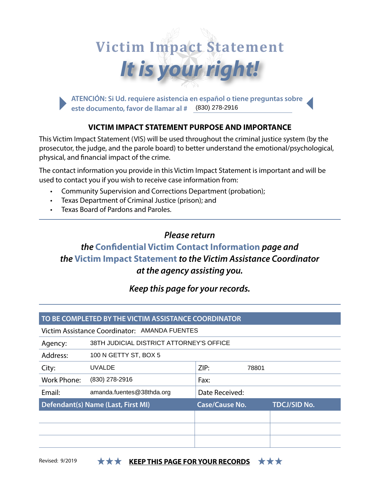# *It is your right!*  **Victim Impact Statement**

**ATENCIÓN: Si Ud. requiere asistencia en español o tiene preguntas sobre este documento, favor de llamar al #**  (830) 278-2916

## **VICTIM IMPACT STATEMENT PURPOSE AND IMPORTANCE**

This Victim Impact Statement (VIS) will be used throughout the criminal justice system (by the prosecutor, the judge, and the parole board) to better understand the emotional/psychological, physical, and fnancial impact of the crime.

The contact information you provide in this Victim Impact Statement is important and will be used to contact you if you wish to receive case information from:

- Community Supervision and Corrections Department (probation);
- • Texas Department of Criminal Justice (prison); and
- **Texas Board of Pardons and Paroles.**

## *Please return*

*the* **Confdential Victim Contact Information** *page and the* **Victim Impact Statement** *to the Victim Assistance Coordinator at the agency assisting you.* 

*Keep this page for your records.* 

## **TO BE COMPLETED BY THE VICTIM ASSISTANCE COORDINATOR**

## Victim Assistance Coordinator: AMANDA FUENTES

Agency: 38TH JUDICIAL DISTRICT ATTORNEY'S OFFICE

Address: 100 N GETTY ST, BOX 5

| City:                              | UVALDE                    | ZIP:                  | 78801               |
|------------------------------------|---------------------------|-----------------------|---------------------|
| <b>Work Phone:</b>                 | (830) 278-2916            | Fax:                  |                     |
| Email:                             | amanda.fuentes@38thda.org | Date Received:        |                     |
| Defendant(s) Name (Last, First MI) |                           | <b>Case/Cause No.</b> | <b>TDCJ/SID No.</b> |
|                                    |                           |                       |                     |
|                                    |                           |                       |                     |
|                                    |                           |                       |                     |

## Revised: 9/2019 **KEEP THIS PAGE FOR YOUR RECORDS KKK**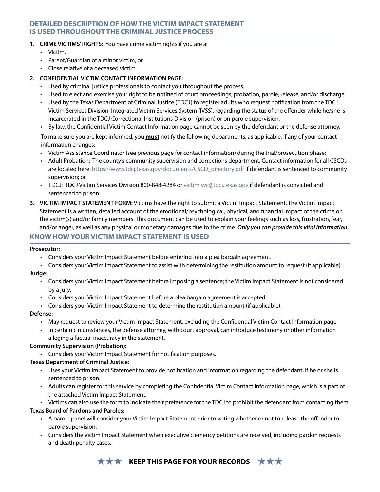## **DETAILED DESCRIPTION OF HOW THE VICTIM IMPACT STATEMENT IS USED THROUGHOUT THE CRIMINAL JUSTICE PROCESS**

### **1. CRIME VICTIMS' RIGHTS:** You have crime victim rights if you are a:

- • Victim,
- • Parent/Guardian of a minor victim, or
- • Close relative of a deceased victim.

## **2. CONFIDENTIAL VICTIM CONTACT INFORMATION PAGE:**

- • Used by criminal justice professionals to contact you throughout the process.
- • Used to elect and exercise your right to be notifed of court proceedings, probation, parole, release, and/or discharge.
- • Used by the Texas Department of Criminal Justice (TDCJ) to register adults who request notifcation from the TDCJ Victim Services Division, Integrated Victim Services System (IVSS), regarding the status of the ofender while he/she is incarcerated in the TDCJ Correctional Institutions Division (prison) or on parole supervision.
- • By law, the Confdential Victim Contact Information page cannot be seen by the defendant or the defense attorney.

 To make sure you are kept informed, you **must** notify the following departments, as applicable, if any of your contact information changes:

- • Victim Assistance Coordinator (see previous page for contact information) during the trial/prosecution phase;
- • Adult Probation: The county's community supervision and corrections department. Contact information for all CSCDs are located here: [https://www.tdcj.texas.gov/documents/CSCD\\_directory.pdf](https://www.tdcj.texas.gov/documents/CSCD_directory.pdf) if defendant is sentenced to community supervision; or
- • TDCJ: TDCJ Victim Services Division 800-848-4284 or [victim.svc@tdcj.texas.gov](mailto:victim.svc@tdcj.texas.gov) if defendant is convicted and sentenced to prison.
- **3. VICTIM IMPACT STATEMENT FORM:** Victims have the right to submit a Victim Impact Statement. The Victim Impact Statement is a written, detailed account of the emotional/psychological, physical, and fnancial impact of the crime on the victim(s) and/or family members. This document can be used to explain your feelings such as loss, frustration, fear, and/or anger, as well as any physical or monetary damages due to the crime. *Only you can provide this vital information.*

## **KNOW HOW YOUR VICTIM IMPACT STATEMENT IS USED**

#### **Prosecutor:**

- • Considers your Victim Impact Statement before entering into a plea bargain agreement.
- • Considers your Victim Impact Statement to assist with determining the restitution amount to request (if applicable).

#### **Judge:**

- • Considers your Victim Impact Statement before imposing a sentence; the Victim Impact Statement is not considered by a jury.
- Considers your Victim Impact Statement before a plea bargain agreement is accepted.
- • Considers your Victim Impact Statement to determine the restitution amount (if applicable).

#### **Defense:**

- • May request to review your Victim Impact Statement, excluding the Confdential Victim Contact Information page
- • In certain circumstances, the defense attorney, with court approval, can introduce testimony or other information alleging a factual inaccuracy in the statement.

#### **Community Supervision (Probation):**

• Considers your Victim Impact Statement for notifcation purposes.

## **Texas Department of Criminal Justice:**

- • Uses your Victim Impact Statement to provide notifcation and information regarding the defendant, if he or she is sentenced to prison.
- • Adults can register for this service by completing the Confdential Victim Contact Information page, which is a part of the attached Victim Impact Statement.
- • Victims can also use the form to indicate their preference for the TDCJ to prohibit the defendant from contacting them.

#### **Texas Board of Pardons and Paroles:**

- • A parole panel will consider your Victim Impact Statement prior to voting whether or not to release the ofender to parole supervision.
- • Considers the Victim Impact Statement when executive clemency petitions are received, including pardon requests and death penalty cases.

## **★ ★ ★ KEEP THIS PAGE FOR YOUR RECORDS** ★ ★ ★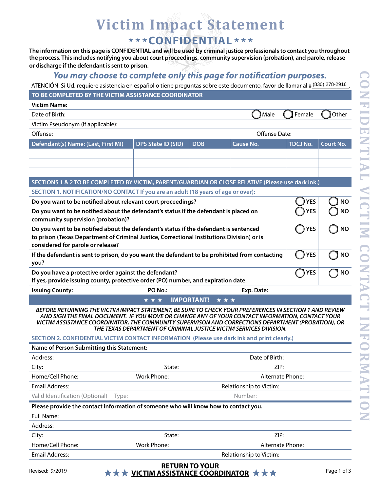## **Victim Impact Statement**  \*\*\* CONFIDENTIAL \*\*\*

**The information on this page is CONFIDENTIAL and will be used by criminal justice professionals to contact you throughout the process. This includes notifying you about court proceedings, community supervision (probation), and parole, release or discharge if the defendant is sent to prison.** 

## *You may choose to complete only this page for notifcation purposes.*

ATENCIÓN: Si Ud. requiere asistencia en español o tiene preguntas sobre este documento, favor de llamar al # (830) 278-2916.

### **TO BE COMPLETED BY THE VICTIM ASSISTANCE COORDINATOR**

| <b>Victim Name:</b>                                                                                                                                                                                                                                                                                                                                                                     |                                                                       |                          |                         |                 |                  |
|-----------------------------------------------------------------------------------------------------------------------------------------------------------------------------------------------------------------------------------------------------------------------------------------------------------------------------------------------------------------------------------------|-----------------------------------------------------------------------|--------------------------|-------------------------|-----------------|------------------|
| Date of Birth:                                                                                                                                                                                                                                                                                                                                                                          |                                                                       |                          | Male                    | Female          | Other            |
| Victim Pseudonym (if applicable):                                                                                                                                                                                                                                                                                                                                                       |                                                                       |                          |                         |                 |                  |
| Offense:                                                                                                                                                                                                                                                                                                                                                                                |                                                                       |                          | Offense Date:           |                 |                  |
| Defendant(s) Name: (Last, First MI)                                                                                                                                                                                                                                                                                                                                                     | <b>DPS State ID (SID)</b>                                             | <b>DOB</b>               | <b>Cause No.</b>        | <b>TDCJ No.</b> | <b>Court No.</b> |
|                                                                                                                                                                                                                                                                                                                                                                                         |                                                                       |                          |                         |                 |                  |
|                                                                                                                                                                                                                                                                                                                                                                                         |                                                                       |                          |                         |                 |                  |
|                                                                                                                                                                                                                                                                                                                                                                                         |                                                                       |                          |                         |                 |                  |
| SECTIONS 1 & 2 TO BE COMPLETED BY VICTIM, PARENT/GUARDIAN OR CLOSE RELATIVE (Please use dark ink.)                                                                                                                                                                                                                                                                                      |                                                                       |                          |                         |                 |                  |
| SECTION 1. NOTIFICATION/NO CONTACT If you are an adult (18 years of age or over):                                                                                                                                                                                                                                                                                                       |                                                                       |                          |                         |                 |                  |
| Do you want to be notified about relevant court proceedings?                                                                                                                                                                                                                                                                                                                            |                                                                       |                          |                         | <b>YES</b>      | <b>NO</b>        |
| Do you want to be notified about the defendant's status if the defendant is placed on<br>community supervision (probation)?                                                                                                                                                                                                                                                             |                                                                       |                          |                         | <b>YES</b>      | <b>NO</b>        |
| Do you want to be notified about the defendant's status if the defendant is sentenced<br>to prison (Texas Department of Criminal Justice, Correctional Institutions Division) or is<br>considered for parole or release?                                                                                                                                                                |                                                                       |                          |                         | <b>YES</b>      | <b>NO</b>        |
| If the defendant is sent to prison, do you want the defendant to be prohibited from contacting<br>you?                                                                                                                                                                                                                                                                                  |                                                                       |                          |                         | <b>YES</b>      | <b>NO</b>        |
| Do you have a protective order against the defendant?                                                                                                                                                                                                                                                                                                                                   |                                                                       |                          |                         | <b>YES</b>      | <b>NO</b>        |
| If yes, provide issuing county, protective order (PO) number, and expiration date.                                                                                                                                                                                                                                                                                                      |                                                                       |                          |                         |                 |                  |
| <b>Issuing County:</b>                                                                                                                                                                                                                                                                                                                                                                  | PO No.:                                                               |                          | Exp. Date:              |                 |                  |
|                                                                                                                                                                                                                                                                                                                                                                                         | ***                                                                   | <b>IMPORTANT!</b><br>*** |                         |                 |                  |
| BEFORE RETURNING THE VICTIM IMPACT STATEMENT, BE SURE TO CHECK YOUR PREFERENCES IN SECTION 1 AND REVIEW<br>AND SIGN THE FINAL DOCUMENT. IF YOU MOVE OR CHANGE ANY OF YOUR CONTACT INFORMATION, CONTACT YOUR<br>VICTIM ASSISTANCE COORDINATOR, THE COMMUNITY SUPERVISON AND CORRECTIONS DEPARTMENT (PROBATION), OR<br>THE TEXAS DEPARTMENT OF CRIMINAL JUSTICE VICTIM SERVICES DIVISION. |                                                                       |                          |                         |                 |                  |
| SECTION 2. CONFIDENTIAL VICTIM CONTACT INFORMATION (Please use dark ink and print clearly.)                                                                                                                                                                                                                                                                                             |                                                                       |                          |                         |                 |                  |
| Name of Person Submitting this Statement:                                                                                                                                                                                                                                                                                                                                               |                                                                       |                          |                         |                 |                  |
| Address:                                                                                                                                                                                                                                                                                                                                                                                |                                                                       |                          | Date of Birth:          |                 |                  |
| State:<br>ZIP:<br>City:                                                                                                                                                                                                                                                                                                                                                                 |                                                                       |                          |                         |                 |                  |
| Home/Cell Phone:                                                                                                                                                                                                                                                                                                                                                                        | Work Phone:<br>Alternate Phone:                                       |                          |                         |                 |                  |
| <b>Email Address:</b><br>Relationship to Victim:                                                                                                                                                                                                                                                                                                                                        |                                                                       |                          |                         |                 |                  |
| Valid Identification (Optional)<br>Type:                                                                                                                                                                                                                                                                                                                                                |                                                                       |                          | Number:                 |                 |                  |
| Please provide the contact information of someone who will know how to contact you.                                                                                                                                                                                                                                                                                                     |                                                                       |                          |                         |                 |                  |
| Full Name:                                                                                                                                                                                                                                                                                                                                                                              |                                                                       |                          |                         |                 |                  |
| Address:                                                                                                                                                                                                                                                                                                                                                                                |                                                                       |                          |                         |                 |                  |
| City:                                                                                                                                                                                                                                                                                                                                                                                   | State:                                                                |                          | ZIP:                    |                 |                  |
| Home/Cell Phone:                                                                                                                                                                                                                                                                                                                                                                        | Work Phone:                                                           |                          | Alternate Phone:        |                 |                  |
| <b>Email Address:</b>                                                                                                                                                                                                                                                                                                                                                                   |                                                                       |                          | Relationship to Victim: |                 |                  |
| Revised: 9/2019                                                                                                                                                                                                                                                                                                                                                                         | $\star \star \star$ VICTIM ASSISTANCE COORDINATOR $\star \star \star$ | <b>RETURN TO YOUR</b>    |                         |                 | Page 1 of 3      |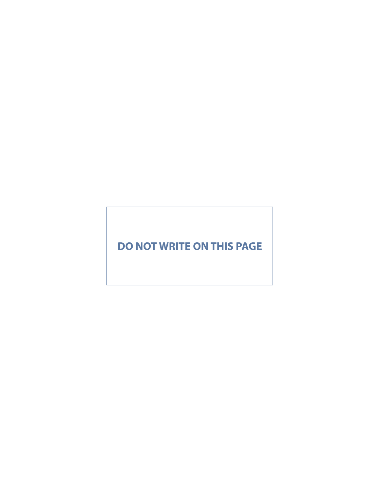## **DO NOT WRITE ON THIS PAGE**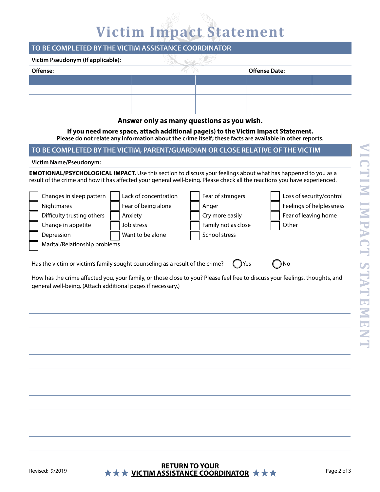## **Victim Impact Statement**

## **TO BE COMPLETED BY THE VICTIM ASSISTANCE COORDINATOR**

| Victim Pseudonym (If applicable): |  |  |                      |  |  |  |  |
|-----------------------------------|--|--|----------------------|--|--|--|--|
| Offense:                          |  |  | <b>Offense Date:</b> |  |  |  |  |
|                                   |  |  |                      |  |  |  |  |
|                                   |  |  |                      |  |  |  |  |
|                                   |  |  |                      |  |  |  |  |
|                                   |  |  |                      |  |  |  |  |

## **Answer only as many questions as you wish.**

**If you need more space, attach additional page(s) to the Victim Impact Statement. Please do not relate any information about the crime itself; these facts are available in other reports.** 

## **TO BE COMPLETED BY THE VICTIM, PARENT/GUARDIAN OR CLOSE RELATIVE OF THE VICTIM**

#### **Victim Name/Pseudonym:**

**EMOTIONAL/PSYCHOLOGICAL IMPACT.** Use this section to discuss your feelings about what has happened to you as a result of the crime and how it has afected your general well-being. Please check all the reactions you have experienced.

| Changes in sleep pattern      | Lack of concentration | Fear of strangers   | Loss of security/control |
|-------------------------------|-----------------------|---------------------|--------------------------|
| Nightmares                    | Fear of being alone   | Anger               | Feelings of helplessness |
| Difficulty trusting others    | Anxiety               | Cry more easily     | Fear of leaving home     |
| Change in appetite            | Job stress            | Family not as close | Other                    |
| Depression                    | Want to be alone      | School stress       |                          |
| Marital/Relationship problems |                       |                     |                          |
|                               |                       |                     |                          |

Has the victim or victim's family sought counseling as a result of the crime?  $\bigcap$  Yes  $\bigcap$  No

How has the crime afected you, your family, or those close to you? Please feel free to discuss your feelings, thoughts, and general well-being. (Attach additional pages if necessary.)

## **RETURN TO YOUR**  Revised: 9/2019 **★★★ VICTIM ASSISTANCE COORDINATOR ★★★**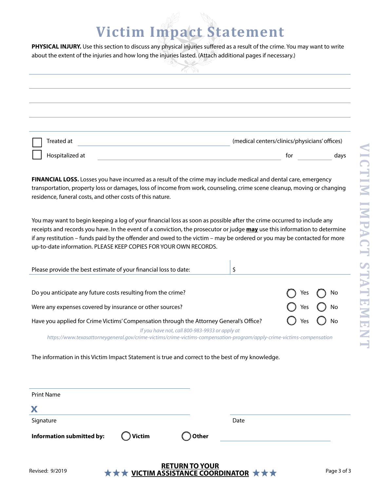## **Victim Impact Statement**

PHYSICAL INJURY. Use this section to discuss any physical injuries suffered as a result of the crime. You may want to write about the extent of the injuries and how long the injuries lasted. (Attach additional pages if necessary.)

|                 | $\sim$ |                                               |      |
|-----------------|--------|-----------------------------------------------|------|
|                 |        |                                               |      |
|                 |        |                                               |      |
|                 |        |                                               |      |
|                 |        |                                               |      |
| Treated at      |        | (medical centers/clinics/physicians' offices) |      |
| Hospitalized at |        | for                                           | days |

**FINANCIAL LOSS.** Losses you have incurred as a result of the crime may include medical and dental care, emergency transportation, property loss or damages, loss of income from work, counseling, crime scene cleanup, moving or changing residence, funeral costs, and other costs of this nature.

You may want to begin keeping a log of your fnancial loss as soon as possible after the crime occurred to include any receipts and records you have. In the event of a conviction, the prosecutor or judge **may** use this information to determine if any restitution – funds paid by the ofender and owed to the victim – may be ordered or you may be contacted for more up-to-date information. PLEASE KEEP COPIES FOR YOUR OWN RECORDS.

| Please provide the best estimate of your financial loss to date:                                                                                                         |                              |  |
|--------------------------------------------------------------------------------------------------------------------------------------------------------------------------|------------------------------|--|
|                                                                                                                                                                          |                              |  |
| Do you anticipate any future costs resulting from the crime?                                                                                                             | $\bigcap$ Yes $\bigcap$ No   |  |
| Were any expenses covered by insurance or other sources?                                                                                                                 | $\bigcap$ Yes $\bigcap$ No   |  |
| Have you applied for Crime Victims' Compensation through the Attorney General's Office?                                                                                  | $\bigcirc$ Yes $\bigcirc$ No |  |
| If you have not, call 800-983-9933 or apply at<br>https://www.texasattorneygeneral.gov/crime-victims/crime-victims-compensation-program/apply-crime-victims-compensation |                              |  |

The information in this Victim Impact Statement is true and correct to the best of my knowledge.

| <b>Print Name</b>         |                   |                  |      |  |
|---------------------------|-------------------|------------------|------|--|
| X                         |                   |                  |      |  |
| Signature                 |                   |                  | Date |  |
| Information submitted by: | $\bigcirc$ Victim | $\bigcirc$ Other |      |  |
|                           |                   |                  |      |  |
|                           |                   |                  |      |  |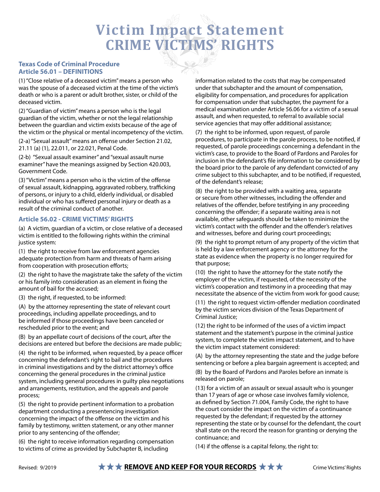## **Victim Impact Statement CRIME VICTIMS' RIGHTS**

### **Texas Code of Criminal Procedure Article 56.01 – DEFINITIONS**

(1) "Close relative of a deceased victim" means a person who was the spouse of a deceased victim at the time of the victim's death or who is a parent or adult brother, sister, or child of the deceased victim.

(2) "Guardian of victim" means a person who is the legal guardian of the victim, whether or not the legal relationship between the guardian and victim exists because of the age of the victim or the physical or mental incompetency of the victim.

(2-a) "Sexual assault" means an ofense under Section 21.02, 21.11 (a) (1), 22.011, or 22.021, Penal Code.

(2-b) "Sexual assault examiner" and "sexual assault nurse examiner" have the meanings assigned by Section 420.003, Government Code.

(3) "Victim" means a person who is the victim of the ofense of sexual assault, kidnapping, aggravated robbery, trafficking of persons, or injury to a child, elderly individual, or disabled individual or who has sufered personal injury or death as a result of the criminal conduct of another.

## **Article 56.02 - CRIME VICTIMS' RIGHTS**

(a) A victim, guardian of a victim, or close relative of a deceased victim is entitled to the following rights within the criminal justice system:

(1) the right to receive from law enforcement agencies adequate protection from harm and threats of harm arising from cooperation with prosecution efforts;

(2) the right to have the magistrate take the safety of the victim or his family into consideration as an element in fxing the amount of bail for the accused;

(3) the right, if requested, to be informed:

(A) by the attorney representing the state of relevant court proceedings, including appellate proceedings, and to be informed if those proceedings have been canceled or rescheduled prior to the event; and

(B) by an appellate court of decisions of the court, after the decisions are entered but before the decisions are made public;

 $(4)$  the right to be informed, when requested, by a peace officer concerning the defendant's right to bail and the procedures in criminal investigations and by the district attorney's office concerning the general procedures in the criminal justice system, including general procedures in guilty plea negotiations and arrangements, restitution, and the appeals and parole process;

(5) the right to provide pertinent information to a probation department conducting a presentencing investigation concerning the impact of the offense on the victim and his family by testimony, written statement, or any other manner prior to any sentencing of the offender;

(6) the right to receive information regarding compensation to victims of crime as provided by Subchapter B, including

information related to the costs that may be compensated under that subchapter and the amount of compensation, eligibility for compensation, and procedures for application for compensation under that subchapter, the payment for a medical examination under Article 56.06 for a victim of a sexual assault, and when requested, to referral to available social service agencies that may offer additional assistance;

(7) the right to be informed, upon request, of parole procedures, to participate in the parole process, to be notifed, if requested, of parole proceedings concerning a defendant in the victim's case, to provide to the Board of Pardons and Paroles for inclusion in the defendant's fle information to be considered by the board prior to the parole of any defendant convicted of any crime subject to this subchapter, and to be notifed, if requested, of the defendant's release;

(8) the right to be provided with a waiting area, separate or secure from other witnesses, including the offender and relatives of the offender, before testifying in any proceeding concerning the offender; if a separate waiting area is not available, other safeguards should be taken to minimize the victim's contact with the offender and the offender's relatives and witnesses, before and during court proceedings;

(9) the right to prompt return of any property of the victim that is held by a law enforcement agency or the attorney for the state as evidence when the property is no longer required for that purpose;

(10) the right to have the attorney for the state notify the employer of the victim, if requested, of the necessity of the victim's cooperation and testimony in a proceeding that may necessitate the absence of the victim from work for good cause;

(11) the right to request victim-ofender mediation coordinated by the victim services division of the Texas Department of Criminal Justice;

(12) the right to be informed of the uses of a victim impact statement and the statement's purpose in the criminal justice system, to complete the victim impact statement, and to have the victim impact statement considered:

(A) by the attorney representing the state and the judge before sentencing or before a plea bargain agreement is accepted; and

(B) by the Board of Pardons and Paroles before an inmate is released on parole;

(13) for a victim of an assault or sexual assault who is younger than 17 years of age or whose case involves family violence, as defned by Section 71.004, Family Code, the right to have the court consider the impact on the victim of a continuance requested by the defendant; if requested by the attorney representing the state or by counsel for the defendant, the court shall state on the record the reason for granting or denying the continuance; and

(14) if the offense is a capital felony, the right to: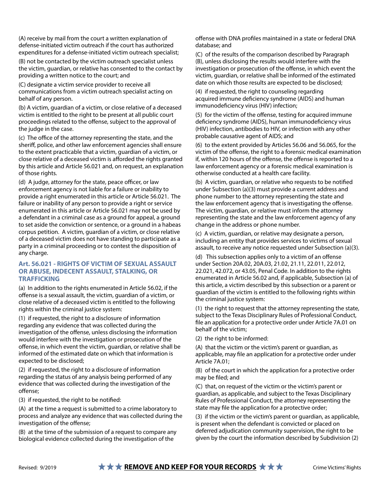(A) receive by mail from the court a written explanation of defense-initiated victim outreach if the court has authorized expenditures for a defense-initiated victim outreach specialist;

(B) not be contacted by the victim outreach specialist unless the victim, guardian, or relative has consented to the contact by providing a written notice to the court; and

(C) designate a victim service provider to receive all communications from a victim outreach specialist acting on behalf of any person.

(b) A victim, guardian of a victim, or close relative of a deceased victim is entitled to the right to be present at all public court proceedings related to the offense, subject to the approval of the judge in the case.

(c) The office of the attorney representing the state, and the sherif, police, and other law enforcement agencies shall ensure to the extent practicable that a victim, guardian of a victim, or close relative of a deceased victim is afforded the rights granted by this article and Article 56.021 and, on request, an explanation of those rights.

(d) A judge, attorney for the state, peace officer, or law enforcement agency is not liable for a failure or inability to provide a right enumerated in this article or Article 56.021. The failure or inability of any person to provide a right or service enumerated in this article or Article 56.021 may not be used by a defendant in a criminal case as a ground for appeal, a ground to set aside the conviction or sentence, or a ground in a habeas corpus petition. A victim, guardian of a victim, or close relative of a deceased victim does not have standing to participate as a party in a criminal proceeding or to contest the disposition of any charge.

#### **Art. 56.021 - RIGHTS OF VICTIM OF SEXUAL ASSAULT OR ABUSE, INDECENT ASSAULT, STALKING, OR TRAFFICKING**

(a) In addition to the rights enumerated in Article 56.02, if the ofense is a sexual assault, the victim, guardian of a victim, or close relative of a deceased victim is entitled to the following rights within the criminal justice system:

(1) if requested, the right to a disclosure of information regarding any evidence that was collected during the investigation of the offense, unless disclosing the information would interfere with the investigation or prosecution of the ofense, in which event the victim, guardian, or relative shall be informed of the estimated date on which that information is expected to be disclosed;

(2) if requested, the right to a disclosure of information regarding the status of any analysis being performed of any evidence that was collected during the investigation of the offense;

(3) if requested, the right to be notifed:

(A) at the time a request is submitted to a crime laboratory to process and analyze any evidence that was collected during the investigation of the offense;

(B) at the time of the submission of a request to compare any biological evidence collected during the investigation of the

ofense with DNA profles maintained in a state or federal DNA database; and

(C) of the results of the comparison described by Paragraph (B), unless disclosing the results would interfere with the investigation or prosecution of the offense, in which event the victim, guardian, or relative shall be informed of the estimated date on which those results are expected to be disclosed;

(4) if requested, the right to counseling regarding acquired immune defciency syndrome (AIDS) and human immunodeficiency virus (HIV) infection;

(5) for the victim of the offense, testing for acquired immune defciency syndrome (AIDS), human immunodefciency virus (HIV) infection, antibodies to HIV, or infection with any other probable causative agent of AIDS; and

(6) to the extent provided by Articles 56.06 and 56.065, for the victim of the offense, the right to a forensic medical examination if, within 120 hours of the offense, the offense is reported to a law enforcement agency or a forensic medical examination is otherwise conducted at a health care facility.

(b) A victim, guardian, or relative who requests to be notifed under Subsection (a)(3) must provide a current address and phone number to the attorney representing the state and the law enforcement agency that is investigating the offense. The victim, guardian, or relative must inform the attorney representing the state and the law enforcement agency of any change in the address or phone number.

(c) A victim, guardian, or relative may designate a person, including an entity that provides services to victims of sexual assault, to receive any notice requested under Subsection (a)(3).

(d) This subsection applies only to a victim of an offense under Section 20A.02, 20A.03, 21.02, 21.11, 22.011, 22.012, 22.021, 42.072, or 43.05, Penal Code. In addition to the rights enumerated in Article 56.02 and, if applicable, Subsection (a) of this article, a victim described by this subsection or a parent or guardian of the victim is entitled to the following rights within the criminal justice system:

(1) the right to request that the attorney representing the state, subject to the Texas Disciplinary Rules of Professional Conduct, fle an application for a protective order under Article 7A.01 on behalf of the victim;

(2) the right to be informed:

(A) that the victim or the victim's parent or guardian, as applicable, may fle an application for a protective order under Article 7A.01;

(B) of the court in which the application for a protective order may be fled; and

(C) that, on request of the victim or the victim's parent or guardian, as applicable, and subject to the Texas Disciplinary Rules of Professional Conduct, the attorney representing the state may fle the application for a protective order;

(3) if the victim or the victim's parent or guardian, as applicable, is present when the defendant is convicted or placed on deferred adjudication community supervision, the right to be given by the court the information described by Subdivision (2)